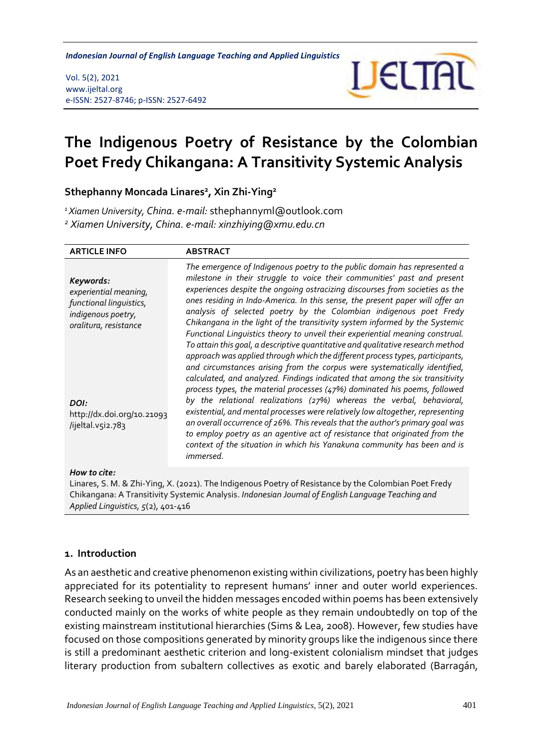*The Indigenous Poetry of Resistance by the Colombian Poet Fredy Chikangana Indonesian Journal of English Language Teaching and Applied Linguistics*

#### Vol. 5(2), 2021 www.ijeltal.org e-ISSN: 2527-8746; p-ISSN: 2527-6492



# **The Indigenous Poetry of Resistance by the Colombian Poet Fredy Chikangana: A Transitivity Systemic Analysis**

### **Sthephanny Moncada Linares<sup>2</sup> , Xin Zhi-Ying<sup>2</sup>**

*<sup>1</sup>Xiamen University, China. e-mail:* sthephannyml@outlook.com

*<sup>2</sup> Xiamen University, China. e-mail: xinzhiying@xmu.edu.cn*

| <b>ARTICLE INFO</b>                                                                                          | <b>ABSTRACT</b>                                                                                                                                                                                                                                                                                                                                                                                                                                                                                                                                                                                                                                                                                                                                                                                                                                                                                                                                                            |
|--------------------------------------------------------------------------------------------------------------|----------------------------------------------------------------------------------------------------------------------------------------------------------------------------------------------------------------------------------------------------------------------------------------------------------------------------------------------------------------------------------------------------------------------------------------------------------------------------------------------------------------------------------------------------------------------------------------------------------------------------------------------------------------------------------------------------------------------------------------------------------------------------------------------------------------------------------------------------------------------------------------------------------------------------------------------------------------------------|
| Keywords:<br>experiential meaning,<br>functional linguistics,<br>indigenous poetry,<br>oralitura, resistance | The emergence of Indigenous poetry to the public domain has represented a<br>milestone in their struggle to voice their communities' past and present<br>experiences despite the ongoing ostracizing discourses from societies as the<br>ones residing in Indo-America. In this sense, the present paper will offer an<br>analysis of selected poetry by the Colombian indigenous poet Fredy<br>Chikangana in the light of the transitivity system informed by the Systemic<br>Functional Linguistics theory to unveil their experiential meaning construal.<br>To attain this goal, a descriptive quantitative and qualitative research method<br>approach was applied through which the different process types, participants,<br>and circumstances arising from the corpus were systematically identified,<br>calculated, and analyzed. Findings indicated that among the six transitivity<br>process types, the material processes (47%) dominated his poems, followed |
| DOI:<br>http://dx.doi.org/10.21093<br>/ijeltal.v5i2.783                                                      | by the relational realizations (27%) whereas the verbal, behavioral,<br>existential, and mental processes were relatively low altogether, representing<br>an overall occurrence of 26%. This reveals that the author's primary goal was<br>to employ poetry as an agentive act of resistance that originated from the<br>context of the situation in which his Yanakuna community has been and is<br><i>immersed.</i>                                                                                                                                                                                                                                                                                                                                                                                                                                                                                                                                                      |
| How to cite:                                                                                                 |                                                                                                                                                                                                                                                                                                                                                                                                                                                                                                                                                                                                                                                                                                                                                                                                                                                                                                                                                                            |

Linares, S. M. & Zhi-Ying, X. (2021). The Indigenous Poetry of Resistance by the Colombian Poet Fredy Chikangana: A Transitivity Systemic Analysis. *Indonesian Journal of English Language Teaching and Applied Linguistics, 5*(2), 401-416

### **1. Introduction**

As an aesthetic and creative phenomenon existing within civilizations, poetry has been highly appreciated for its potentiality to represent humans' inner and outer world experiences. Research seeking to unveil the hidden messages encoded within poems has been extensively conducted mainly on the works of white people as they remain undoubtedly on top of the existing mainstream institutional hierarchies (Sims & Lea, 2008). However, few studies have focused on those compositions generated by minority groups like the indigenous since there is still a predominant aesthetic criterion and long-existent colonialism mindset that judges literary production from subaltern collectives as exotic and barely elaborated (Barragán,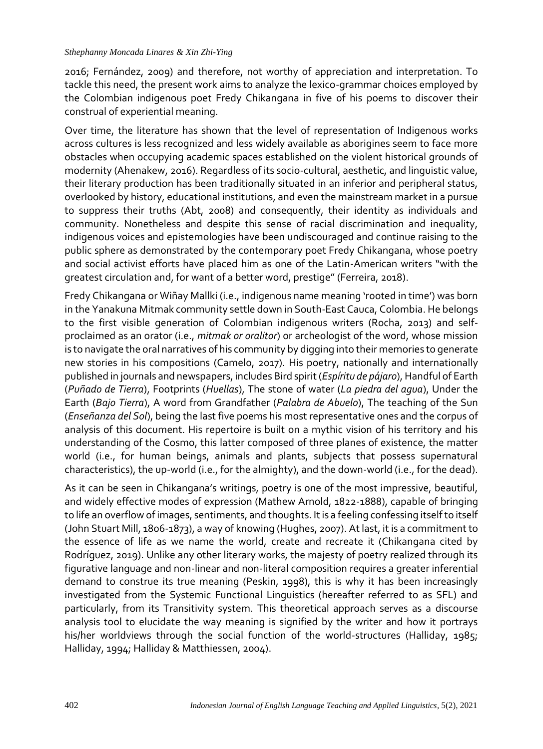2016; Fernández, 2009) and therefore, not worthy of appreciation and interpretation. To tackle this need, the present work aims to analyze the lexico-grammar choices employed by the Colombian indigenous poet Fredy Chikangana in five of his poems to discover their construal of experiential meaning.

Over time, the literature has shown that the level of representation of Indigenous works across cultures is less recognized and less widely available as aborigines seem to face more obstacles when occupying academic spaces established on the violent historical grounds of modernity (Ahenakew, 2016). Regardless of its socio-cultural, aesthetic, and linguistic value, their literary production has been traditionally situated in an inferior and peripheral status, overlooked by history, educational institutions, and even the mainstream market in a pursue to suppress their truths (Abt, 2008) and consequently, their identity as individuals and community. Nonetheless and despite this sense of racial discrimination and inequality, indigenous voices and epistemologies have been undiscouraged and continue raising to the public sphere as demonstrated by the contemporary poet Fredy Chikangana, whose poetry and social activist efforts have placed him as one of the Latin-American writers "with the greatest circulation and, for want of a better word, prestige" (Ferreira, 2018).

Fredy Chikangana or Wiñay Mallki (i.e., indigenous name meaning 'rooted in time') was born in the Yanakuna Mitmak community settle down in South-East Cauca, Colombia. He belongs to the first visible generation of Colombian indigenous writers (Rocha, 2013) and selfproclaimed as an orator (i.e., *mitmak or oralitor*) or archeologist of the word, whose mission is to navigate the oral narratives of his community by digging into their memories to generate new stories in his compositions (Camelo, 2017). His poetry, nationally and internationally published in journals and newspapers, includes Bird spirit (*Espíritu de pájaro*), Handful of Earth (*Puñado de Tierra*), Footprints (*Huellas*), The stone of water (*La piedra del agua*), Under the Earth (*Bajo Tierra*), A word from Grandfather (*Palabra de Abuelo*), The teaching of the Sun (*Enseñanza del Sol*), being the last five poems his most representative ones and the corpus of analysis of this document. His repertoire is built on a mythic vision of his territory and his understanding of the Cosmo, this latter composed of three planes of existence, the matter world (i.e., for human beings, animals and plants, subjects that possess supernatural characteristics), the up-world (i.e., for the almighty), and the down-world (i.e., for the dead).

As it can be seen in Chikangana's writings, poetry is one of the most impressive, beautiful, and widely effective modes of expression (Mathew Arnold, 1822-1888), capable of bringing to life an overflow of images, sentiments, and thoughts. It is a feeling confessing itself to itself (John Stuart Mill, 1806-1873), a way of knowing (Hughes, 2007). At last, it is a commitment to the essence of life as we name the world, create and recreate it (Chikangana cited by Rodríguez, 2019). Unlike any other literary works, the majesty of poetry realized through its figurative language and non-linear and non-literal composition requires a greater inferential demand to construe its true meaning (Peskin, 1998), this is why it has been increasingly investigated from the Systemic Functional Linguistics (hereafter referred to as SFL) and particularly, from its Transitivity system. This theoretical approach serves as a discourse analysis tool to elucidate the way meaning is signified by the writer and how it portrays his/her worldviews through the social function of the world-structures (Halliday, 1985; Halliday, 1994; Halliday & Matthiessen, 2004).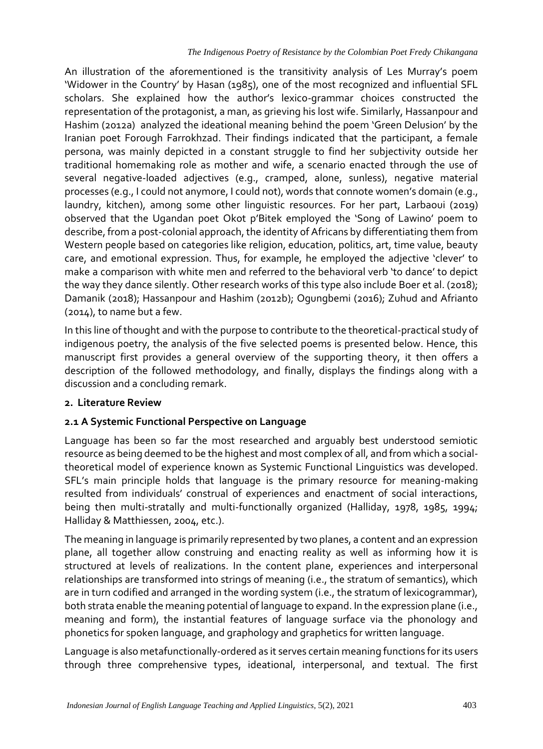An illustration of the aforementioned is the transitivity analysis of Les Murray's poem 'Widower in the Country' by Hasan (1985), one of the most recognized and influential SFL scholars. She explained how the author's lexico-grammar choices constructed the representation of the protagonist, a man, as grieving his lost wife. Similarly, Hassanpour and Hashim (2012a) analyzed the ideational meaning behind the poem 'Green Delusion' by the Iranian poet Forough Farrokhzad. Their findings indicated that the participant, a female persona, was mainly depicted in a constant struggle to find her subjectivity outside her traditional homemaking role as mother and wife, a scenario enacted through the use of several negative-loaded adjectives (e.g., cramped, alone, sunless), negative material processes (e.g., I could not anymore, I could not), words that connote women's domain (e.g., laundry, kitchen), among some other linguistic resources. For her part, Larbaoui (2019) observed that the Ugandan poet Okot p'Bitek employed the 'Song of Lawino' poem to describe, from a post-colonial approach, the identity of Africans by differentiating them from Western people based on categories like religion, education, politics, art, time value, beauty care, and emotional expression. Thus, for example, he employed the adjective 'clever' to make a comparison with white men and referred to the behavioral verb 'to dance' to depict the way they dance silently. Other research works of this type also include Boer et al. (2018); Damanik (2018); Hassanpour and Hashim (2012b); Ogungbemi (2016); Zuhud and Afrianto (2014), to name but a few.

In this line of thought and with the purpose to contribute to the theoretical-practical study of indigenous poetry, the analysis of the five selected poems is presented below. Hence, this manuscript first provides a general overview of the supporting theory, it then offers a description of the followed methodology, and finally, displays the findings along with a discussion and a concluding remark.

### **2. Literature Review**

### **2.1 A Systemic Functional Perspective on Language**

Language has been so far the most researched and arguably best understood semiotic resource as being deemed to be the highest and most complex of all, and from which a socialtheoretical model of experience known as Systemic Functional Linguistics was developed. SFL's main principle holds that language is the primary resource for meaning-making resulted from individuals' construal of experiences and enactment of social interactions, being then multi-stratally and multi-functionally organized (Halliday, 1978, 1985, 1994; Halliday & Matthiessen, 2004, etc.).

The meaning in language is primarily represented by two planes, a content and an expression plane, all together allow construing and enacting reality as well as informing how it is structured at levels of realizations. In the content plane, experiences and interpersonal relationships are transformed into strings of meaning (i.e., the stratum of semantics), which are in turn codified and arranged in the wording system (i.e., the stratum of lexicogrammar), both strata enable the meaning potential of language to expand. In the expression plane (i.e., meaning and form), the instantial features of language surface via the phonology and phonetics for spoken language, and graphology and graphetics for written language.

Language is also metafunctionally-ordered as it serves certain meaning functions for its users through three comprehensive types, ideational, interpersonal, and textual. The first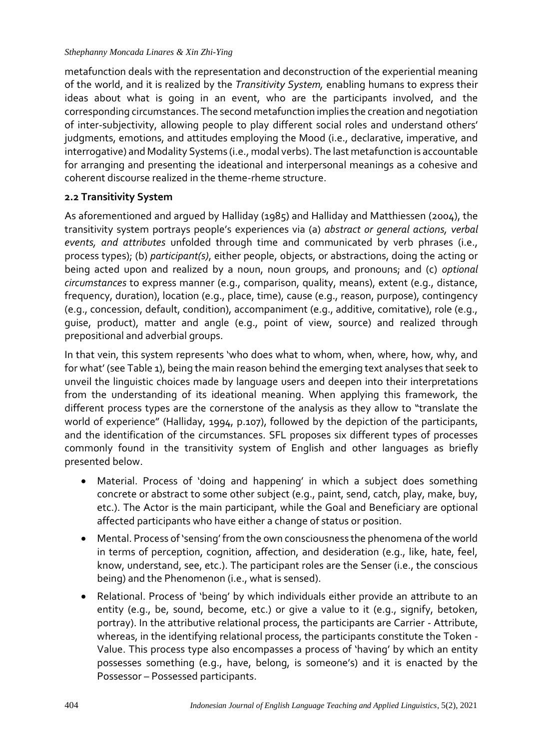metafunction deals with the representation and deconstruction of the experiential meaning of the world, and it is realized by the *Transitivity System,* enabling humans to express their ideas about what is going in an event, who are the participants involved, and the corresponding circumstances. The second metafunction implies the creation and negotiation of inter-subjectivity, allowing people to play different social roles and understand others' judgments, emotions, and attitudes employing the Mood (i.e., declarative, imperative, and interrogative) and Modality Systems (i.e., modal verbs). The last metafunction is accountable for arranging and presenting the ideational and interpersonal meanings as a cohesive and coherent discourse realized in the theme-rheme structure.

# **2.2 Transitivity System**

As aforementioned and argued by Halliday (1985) and Halliday and Matthiessen (2004), the transitivity system portrays people's experiences via (a) *abstract or general actions, verbal events, and attributes* unfolded through time and communicated by verb phrases (i.e., process types); (b) *participant(s)*, either people, objects, or abstractions, doing the acting or being acted upon and realized by a noun, noun groups, and pronouns; and (c) *optional circumstances* to express manner (e.g., comparison, quality, means), extent (e.g., distance, frequency, duration), location (e.g., place, time), cause (e.g., reason, purpose), contingency (e.g., concession, default, condition), accompaniment (e.g., additive, comitative), role (e.g., guise, product), matter and angle (e.g., point of view, source) and realized through prepositional and adverbial groups.

In that vein, this system represents 'who does what to whom, when, where, how, why, and for what' (see Table 1), being the main reason behind the emerging text analyses that seek to unveil the linguistic choices made by language users and deepen into their interpretations from the understanding of its ideational meaning. When applying this framework, the different process types are the cornerstone of the analysis as they allow to "translate the world of experience" (Halliday, 1994, p.107), followed by the depiction of the participants, and the identification of the circumstances. SFL proposes six different types of processes commonly found in the transitivity system of English and other languages as briefly presented below.

- Material. Process of 'doing and happening' in which a subject does something concrete or abstract to some other subject (e.g., paint, send, catch, play, make, buy, etc.). The Actor is the main participant, while the Goal and Beneficiary are optional affected participants who have either a change of status or position.
- Mental. Process of 'sensing' from the own consciousness the phenomena of the world in terms of perception, cognition, affection, and desideration (e.g., like, hate, feel, know, understand, see, etc.). The participant roles are the Senser (i.e., the conscious being) and the Phenomenon (i.e., what is sensed).
- Relational. Process of 'being' by which individuals either provide an attribute to an entity (e.g., be, sound, become, etc.) or give a value to it (e.g., signify, betoken, portray). In the attributive relational process, the participants are Carrier - Attribute, whereas, in the identifying relational process, the participants constitute the Token - Value. This process type also encompasses a process of 'having' by which an entity possesses something (e.g., have, belong, is someone's) and it is enacted by the Possessor – Possessed participants.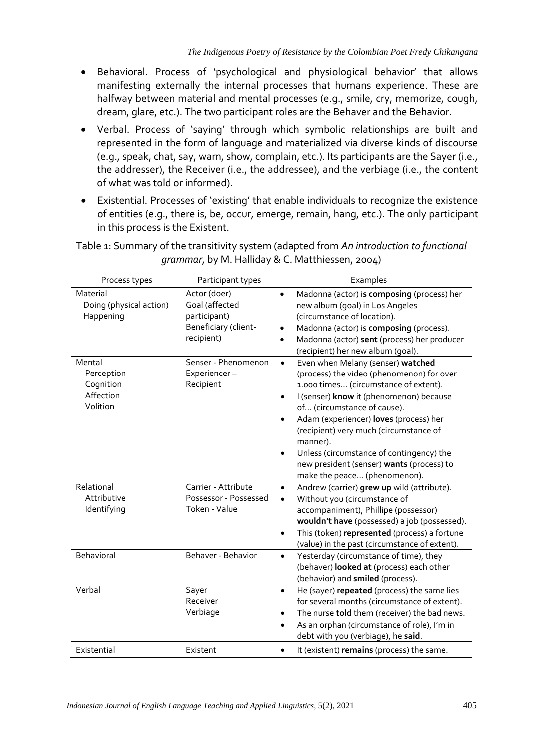- Behavioral. Process of 'psychological and physiological behavior' that allows manifesting externally the internal processes that humans experience. These are halfway between material and mental processes (e.g., smile, cry, memorize, cough, dream, glare, etc.). The two participant roles are the Behaver and the Behavior.
- Verbal. Process of 'saying' through which symbolic relationships are built and represented in the form of language and materialized via diverse kinds of discourse (e.g., speak, chat, say, warn, show, complain, etc.). Its participants are the Sayer (i.e., the addresser), the Receiver (i.e., the addressee), and the verbiage (i.e., the content of what was told or informed).
- Existential. Processes of 'existing' that enable individuals to recognize the existence of entities (e.g., there is, be, occur, emerge, remain, hang, etc.). The only participant in this process is the Existent.

| Process types                                              | Participant types                                                                    | Examples                                                                                                                                                                                                                                                                                                                                                                                                                                                                       |
|------------------------------------------------------------|--------------------------------------------------------------------------------------|--------------------------------------------------------------------------------------------------------------------------------------------------------------------------------------------------------------------------------------------------------------------------------------------------------------------------------------------------------------------------------------------------------------------------------------------------------------------------------|
| Material<br>Doing (physical action)<br>Happening           | Actor (doer)<br>Goal (affected<br>participant)<br>Beneficiary (client-<br>recipient) | Madonna (actor) is composing (process) her<br>$\bullet$<br>new album (goal) in Los Angeles<br>(circumstance of location).<br>Madonna (actor) is composing (process).<br>Madonna (actor) sent (process) her producer<br>$\bullet$<br>(recipient) her new album (goal).                                                                                                                                                                                                          |
| Mental<br>Perception<br>Cognition<br>Affection<br>Volition | Senser - Phenomenon<br>Experiencer-<br>Recipient                                     | Even when Melany (senser) watched<br>$\bullet$<br>(process) the video (phenomenon) for over<br>1.000 times (circumstance of extent).<br>I (senser) know it (phenomenon) because<br>$\bullet$<br>of (circumstance of cause).<br>Adam (experiencer) loves (process) her<br>$\bullet$<br>(recipient) very much (circumstance of<br>manner).<br>Unless (circumstance of contingency) the<br>$\bullet$<br>new president (senser) wants (process) to<br>make the peace (phenomenon). |
| Relational<br>Attributive<br>Identifying                   | Carrier - Attribute<br>Possessor - Possessed<br>Token - Value                        | Andrew (carrier) grew up wild (attribute).<br>$\bullet$<br>Without you (circumstance of<br>accompaniment), Phillipe (possessor)<br>wouldn't have (possessed) a job (possessed).<br>This (token) represented (process) a fortune<br>$\bullet$<br>(value) in the past (circumstance of extent).                                                                                                                                                                                  |
| Behavioral                                                 | Behaver - Behavior                                                                   | Yesterday (circumstance of time), they<br>$\bullet$<br>(behaver) looked at (process) each other<br>(behavior) and smiled (process).                                                                                                                                                                                                                                                                                                                                            |
| Verbal                                                     | Sayer<br>Receiver<br>Verbiage                                                        | He (sayer) repeated (process) the same lies<br>$\bullet$<br>for several months (circumstance of extent).<br>The nurse told them (receiver) the bad news.<br>As an orphan (circumstance of role), I'm in<br>$\bullet$<br>debt with you (verbiage), he said.                                                                                                                                                                                                                     |
| Existential                                                | Existent                                                                             | It (existent) remains (process) the same.                                                                                                                                                                                                                                                                                                                                                                                                                                      |

Table 1: Summary of the transitivity system (adapted from *An introduction to functional grammar*, by M. Halliday & C. Matthiessen, 2004)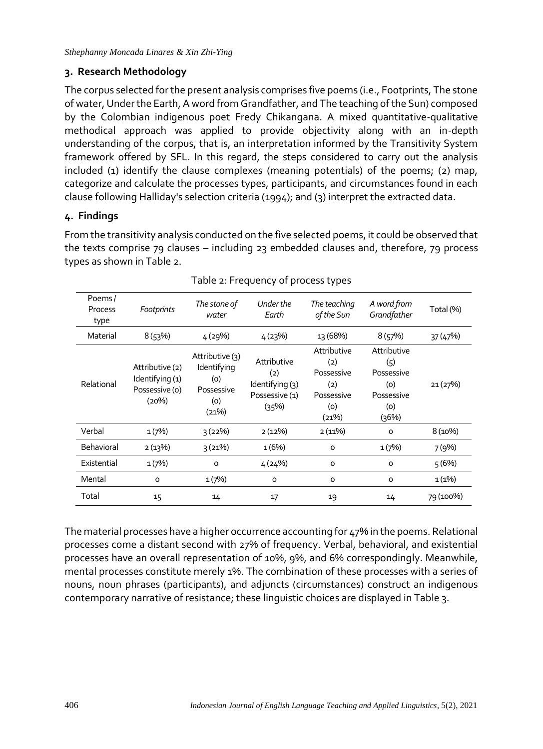# **3. Research Methodology**

The corpus selected for the present analysis comprises five poems (i.e., Footprints, The stone of water, Under the Earth, A word from Grandfather, and The teaching of the Sun) composed by the Colombian indigenous poet Fredy Chikangana. A mixed quantitative-qualitative methodical approach was applied to provide objectivity along with an in-depth understanding of the corpus, that is, an interpretation informed by the Transitivity System framework offered by SFL. In this regard, the steps considered to carry out the analysis included (1) identify the clause complexes (meaning potentials) of the poems; (2) map, categorize and calculate the processes types, participants, and circumstances found in each clause following Halliday's selection criteria (1994); and (3) interpret the extracted data.

# **4. Findings**

From the transitivity analysis conducted on the five selected poems, it could be observed that the texts comprise 79 clauses – including 23 embedded clauses and, therefore, 79 process types as shown in Table 2.

| Poems/<br><b>Process</b><br>type | Footprints                                                    | The stone of<br>water                                               | Under the<br>Earth                                               | The teaching<br>of the Sun                                            | A word from<br>Grandfather                                            | Total (%) |
|----------------------------------|---------------------------------------------------------------|---------------------------------------------------------------------|------------------------------------------------------------------|-----------------------------------------------------------------------|-----------------------------------------------------------------------|-----------|
| Material                         | 8(53%)                                                        | 4 (29%)                                                             | 4(23%)                                                           | 13 (68%)                                                              | 8(57%)                                                                | 37 (47%)  |
| Relational                       | Attributive (2)<br>Identifying (1)<br>Possessive (o)<br>(20%) | Attributive (3)<br>Identifying<br>(0)<br>Possessive<br>(0)<br>(21%) | Attributive<br>(2)<br>Identifying (3)<br>Possessive (1)<br>(35%) | Attributive<br>(2)<br>Possessive<br>(2)<br>Possessive<br>(0)<br>(21%) | Attributive<br>(5)<br>Possessive<br>(0)<br>Possessive<br>(0)<br>(36%) | 21 (27%)  |
| Verbal                           | 1(7%)                                                         | 3(22%)                                                              | 2(12%)                                                           | $2(11\%)$                                                             | O                                                                     | 8 (10%)   |
| Behavioral                       | $2(13\%)$                                                     | 3(21%)                                                              | 1(6%)                                                            | $\circ$                                                               | 1(7%)                                                                 | 7(9%)     |
| Existential                      | 1(7%)                                                         | o                                                                   | 4(24%)                                                           | o                                                                     | $\circ$                                                               | 5(6%)     |
| Mental                           | $\circ$                                                       | 1(7%)                                                               | O                                                                | o                                                                     | 0                                                                     | 1(1%)     |
| Total                            | 15                                                            | 14                                                                  | 17                                                               | 19                                                                    | 14                                                                    | 79 (100%) |

### Table 2: Frequency of process types

The material processes have a higher occurrence accounting for 47% in the poems. Relational processes come a distant second with 27% of frequency. Verbal, behavioral, and existential processes have an overall representation of 10%, 9%, and 6% correspondingly. Meanwhile, mental processes constitute merely 1%. The combination of these processes with a series of nouns, noun phrases (participants), and adjuncts (circumstances) construct an indigenous contemporary narrative of resistance; these linguistic choices are displayed in Table 3.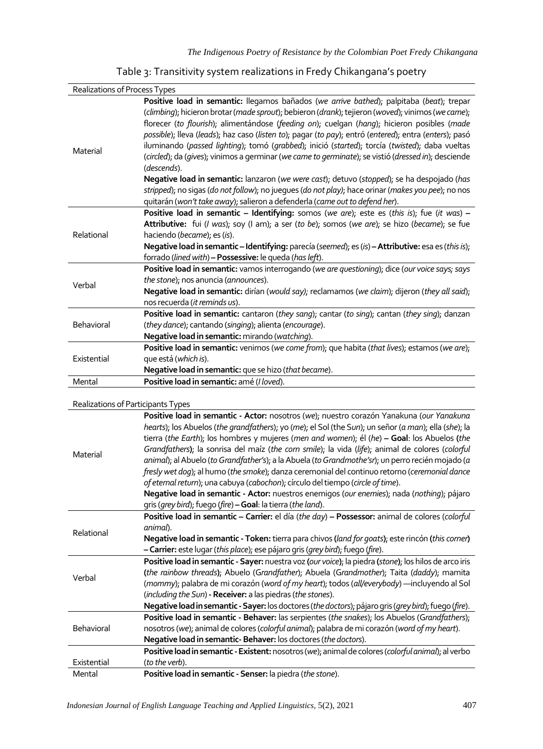| Table 3: Transitivity system realizations in Fredy Chikangana's poetry |  |
|------------------------------------------------------------------------|--|
|------------------------------------------------------------------------|--|

| Realizations of Process Types |                                                                                                                                                                                                                                                                                                                                                                                                                                                                                                                                                                                                                                                                                                                                                                                                                                   |  |
|-------------------------------|-----------------------------------------------------------------------------------------------------------------------------------------------------------------------------------------------------------------------------------------------------------------------------------------------------------------------------------------------------------------------------------------------------------------------------------------------------------------------------------------------------------------------------------------------------------------------------------------------------------------------------------------------------------------------------------------------------------------------------------------------------------------------------------------------------------------------------------|--|
| Material                      | Positive load in semantic: llegamos bañados (we arrive bathed); palpitaba (beat); trepar<br>(climbing); hicieron brotar (made sprout); bebieron (drank); tejieron (woved); vinimos (we came);<br>florecer (to flourish); alimentándose (feeding on); cuelgan (hang); hicieron posibles (made<br>possible); lleva (leads); haz caso (listen to); pagar (to pay); entró (entered); entra (enters); pasó<br>iluminando (passed lighting); tomó (grabbed); inició (started); torcía (twisted); daba vueltas<br>(circled); da (gives); vinimos a germinar (we came to germinate); se vistió (dressed in); desciende<br>(descends).<br>Negative load in semantic: lanzaron (we were cast); detuvo (stopped); se ha despojado (has<br>stripped); no sigas (do not follow); no jueques (do not play); hace orinar (makes you pee); no nos |  |
|                               | quitarán (won't take away); salieron a defenderla (came out to defend her).                                                                                                                                                                                                                                                                                                                                                                                                                                                                                                                                                                                                                                                                                                                                                       |  |
|                               | Positive load in semantic - Identifying: somos (we are); este es (this is); fue (it was) -                                                                                                                                                                                                                                                                                                                                                                                                                                                                                                                                                                                                                                                                                                                                        |  |
|                               | Attributive: fui (I was); soy (I am); a ser (to be); somos (we are); se hizo (became); se fue                                                                                                                                                                                                                                                                                                                                                                                                                                                                                                                                                                                                                                                                                                                                     |  |
| Relational                    | haciendo (became); es (is).                                                                                                                                                                                                                                                                                                                                                                                                                                                                                                                                                                                                                                                                                                                                                                                                       |  |
|                               | Negative load in semantic - Identifying: parecía (seemed); es (is) - Attributive: esa es (this is);                                                                                                                                                                                                                                                                                                                                                                                                                                                                                                                                                                                                                                                                                                                               |  |
|                               | forrado (lined with) - Possessive: le queda (has left).                                                                                                                                                                                                                                                                                                                                                                                                                                                                                                                                                                                                                                                                                                                                                                           |  |
|                               | Positive load in semantic: vamos interrogando (we are questioning); dice (our voice says; says                                                                                                                                                                                                                                                                                                                                                                                                                                                                                                                                                                                                                                                                                                                                    |  |
| Verbal                        | the stone); nos anuncia (announces).                                                                                                                                                                                                                                                                                                                                                                                                                                                                                                                                                                                                                                                                                                                                                                                              |  |
|                               | Negative load in semantic: dirían (would say); reclamamos (we claim); dijeron (they all said);                                                                                                                                                                                                                                                                                                                                                                                                                                                                                                                                                                                                                                                                                                                                    |  |
|                               | nos recuerda ( <i>it reminds us</i> ).                                                                                                                                                                                                                                                                                                                                                                                                                                                                                                                                                                                                                                                                                                                                                                                            |  |
| Behavioral                    | Positive load in semantic: cantaron (they sang); cantar (to sing); cantan (they sing); danzan                                                                                                                                                                                                                                                                                                                                                                                                                                                                                                                                                                                                                                                                                                                                     |  |
|                               | (they dance); cantando (singing); alienta (encourage).                                                                                                                                                                                                                                                                                                                                                                                                                                                                                                                                                                                                                                                                                                                                                                            |  |
|                               | Negative load in semantic: mirando (watching).                                                                                                                                                                                                                                                                                                                                                                                                                                                                                                                                                                                                                                                                                                                                                                                    |  |
| Existential                   | Positive load in semantic: venimos (we come from); que habita (that lives); estamos (we are);                                                                                                                                                                                                                                                                                                                                                                                                                                                                                                                                                                                                                                                                                                                                     |  |
|                               | que está (which is).                                                                                                                                                                                                                                                                                                                                                                                                                                                                                                                                                                                                                                                                                                                                                                                                              |  |
|                               | Negative load in semantic: que se hizo (that became).                                                                                                                                                                                                                                                                                                                                                                                                                                                                                                                                                                                                                                                                                                                                                                             |  |
| Mental                        | Positive load in semantic: amé (I loved).                                                                                                                                                                                                                                                                                                                                                                                                                                                                                                                                                                                                                                                                                                                                                                                         |  |
|                               |                                                                                                                                                                                                                                                                                                                                                                                                                                                                                                                                                                                                                                                                                                                                                                                                                                   |  |

#### Realizations of Participants Types

| <u>Kealizations on Farticipants Types</u> |                                                                                                                                                                                                                                                                                                                                                                                                                                                                                                                                                                                                                                                                                                                                                                                                                                                           |
|-------------------------------------------|-----------------------------------------------------------------------------------------------------------------------------------------------------------------------------------------------------------------------------------------------------------------------------------------------------------------------------------------------------------------------------------------------------------------------------------------------------------------------------------------------------------------------------------------------------------------------------------------------------------------------------------------------------------------------------------------------------------------------------------------------------------------------------------------------------------------------------------------------------------|
| Material                                  | Positive load in semantic - Actor: nosotros (we); nuestro corazón Yanakuna (our Yanakuna<br>hearts); los Abuelos (the grandfathers); yo (me); el Sol (the Sun); un señor (a man); ella (she); la<br>tierra (the Earth); los hombres y mujeres (men and women); él (he) - Goal: los Abuelos (the<br>Grandfathers); la sonrisa del maíz (the corn smile); la vida (life); animal de colores (colorful<br>animal); al Abuelo (to Grandfather's); a la Abuela (to Grandmothe'sr); un perro recién mojado (a<br>fresly wet dog); al humo (the smoke); danza ceremonial del continuo retorno (ceremonial dance<br>of eternal return); una cabuya (cabochon); círculo del tiempo (circle of time).<br>Negative load in semantic - Actor: nuestros enemigos (our enemies); nada (nothing); pájaro<br>gris (grey bird); fuego (fire) - Goal: la tierra (the land). |
|                                           |                                                                                                                                                                                                                                                                                                                                                                                                                                                                                                                                                                                                                                                                                                                                                                                                                                                           |
| Relational                                | Positive load in semantic - Carrier: el día (the day) - Possessor: animal de colores (colorful<br>animal).<br>Negative load in semantic - Token: tierra para chivos (land for goats); este rincón (this corner)<br>- Carrier: este lugar (this place); ese pájaro gris (grey bird); fuego (fire).                                                                                                                                                                                                                                                                                                                                                                                                                                                                                                                                                         |
| Verbal                                    | Positive load in semantic - Sayer: nuestra voz (our voice); la piedra (stone); los hilos de arco iris<br>(the rainbow threads); Abuelo (Grandfather); Abuela (Grandmother); Taita (daddy); mamita<br>(mommy); palabra de mi corazón (word of my heart); todos (all/everybody) -- incluyendo al Sol<br>(including the Sun) - Receiver: a las piedras (the stones).<br>Negative load in semantic - Sayer: los doctores (the doctors); pájaro gris (grey bird); fuego (fire).                                                                                                                                                                                                                                                                                                                                                                                |
| Behavioral                                | Positive load in semantic - Behaver: las serpientes (the snakes); los Abuelos (Grandfathers);<br>nosotros (we); animal de colores (colorful animal); palabra de mi corazón (word of my heart).<br>Negative load in semantic- Behaver: los doctores (the doctors).                                                                                                                                                                                                                                                                                                                                                                                                                                                                                                                                                                                         |
|                                           | Positive load in semantic - Existent: nosotros (we); animal de colores (colorful animal); al verbo                                                                                                                                                                                                                                                                                                                                                                                                                                                                                                                                                                                                                                                                                                                                                        |
| Existential                               | (to the verb).                                                                                                                                                                                                                                                                                                                                                                                                                                                                                                                                                                                                                                                                                                                                                                                                                                            |
| Mental                                    | Positive load in semantic - Senser: la piedra (the stone).                                                                                                                                                                                                                                                                                                                                                                                                                                                                                                                                                                                                                                                                                                                                                                                                |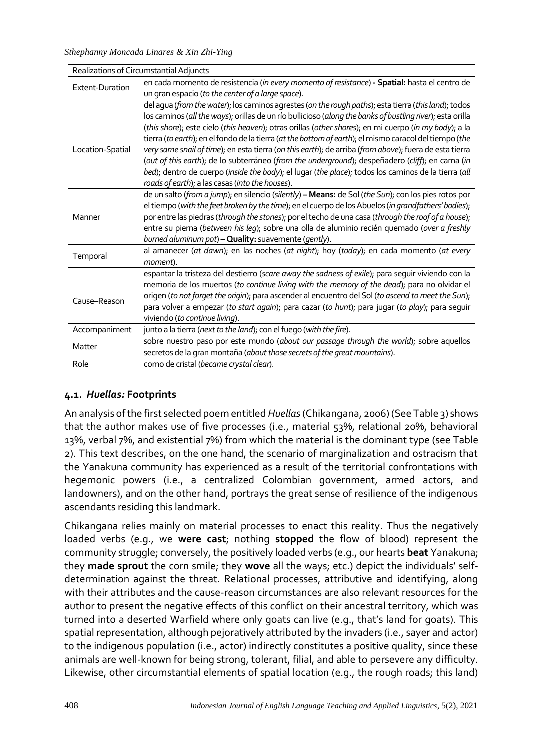*Sthephanny Moncada Linares & Xin Zhi-Ying*

| Realizations of Circumstantial Adjuncts |                                                                                                                                                        |
|-----------------------------------------|--------------------------------------------------------------------------------------------------------------------------------------------------------|
| Extent-Duration                         | en cada momento de resistencia (in every momento of resistance) - Spatial: hasta el centro de                                                          |
|                                         | un gran espacio (to the center of a large space).                                                                                                      |
|                                         | del agua (from the water); los caminos agrestes (on the rough paths); esta tierra (this land); todos                                                   |
|                                         | los caminos (all the ways); orillas de un río bullicioso (along the banks of bustling river); esta orilla                                              |
|                                         | (this shore); este cielo (this heaven); otras orillas (other shores); en mi cuerpo (in my body); a la                                                  |
|                                         | tierra (to earth); en el fondo de la tierra (at the bottom of earth); el mismo caracol del tiempo (the                                                 |
| Location-Spatial                        | very same snail of time); en esta tierra (on this earth); de arriba (from above); fuera de esta tierra                                                 |
|                                         | (out of this earth); de lo subterráneo (from the underground); despeñadero (cliff); en cama (in                                                        |
|                                         | bed); dentro de cuerpo (inside the body); el lugar (the place); todos los caminos de la tierra (all<br>roads of earth); a las casas (into the houses). |
|                                         | de un salto (from a jump); en silencio (silently) - Means: de Sol (the Sun); con los pies rotos por                                                    |
|                                         | el tiempo (with the feet broken by the time); en el cuerpo de los Abuelos (in grandfathers' bodies);                                                   |
| Manner                                  | por entre las piedras (through the stones); por el techo de una casa (through the roof of a house);                                                    |
|                                         | entre su pierna (between his leg); sobre una olla de aluminio recién quemado (over a freshly                                                           |
|                                         | burned aluminum pot) - Quality: suavemente (gently).                                                                                                   |
|                                         | al amanecer (at dawn); en las noches (at night); hoy (today); en cada momento (at every                                                                |
| Temporal                                | moment).                                                                                                                                               |
|                                         | espantar la tristeza del destierro (scare away the sadness of exile); para sequir viviendo con la                                                      |
|                                         | memoria de los muertos (to continue living with the memory of the dead); para no olvidar el                                                            |
| Cause-Reason                            | origen (to not forget the origin); para ascender al encuentro del Sol (to ascend to meet the Sun);                                                     |
|                                         | para volver a empezar (to start again); para cazar (to hunt); para jugar (to play); para seguir                                                        |
|                                         | viviendo (to continue living).                                                                                                                         |
| Accompaniment                           | junto a la tierra (next to the land); con el fuego (with the fire).                                                                                    |
| Matter                                  | sobre nuestro paso por este mundo (about our passage through the world); sobre aquellos                                                                |
|                                         | secretos de la gran montaña (about those secrets of the great mountains).                                                                              |
| Role                                    | como de cristal (became crystal clear).                                                                                                                |

### **4.1.** *Huellas:* **Footprints**

An analysis of the first selected poem entitled *Huellas*(Chikangana, 2006) (See Table 3) shows that the author makes use of five processes (i.e., material 53%, relational 20%, behavioral 13%, verbal 7%, and existential 7%) from which the material is the dominant type (see Table 2). This text describes, on the one hand, the scenario of marginalization and ostracism that the Yanakuna community has experienced as a result of the territorial confrontations with hegemonic powers (i.e., a centralized Colombian government, armed actors, and landowners), and on the other hand, portrays the great sense of resilience of the indigenous ascendants residing this landmark.

Chikangana relies mainly on material processes to enact this reality. Thus the negatively loaded verbs (e.g., we **were cast**; nothing **stopped** the flow of blood) represent the community struggle; conversely, the positively loaded verbs (e.g., our hearts **beat** Yanakuna; they **made sprout** the corn smile; they **wove** all the ways; etc.) depict the individuals' selfdetermination against the threat. Relational processes, attributive and identifying, along with their attributes and the cause-reason circumstances are also relevant resources for the author to present the negative effects of this conflict on their ancestral territory, which was turned into a deserted Warfield where only goats can live (e.g., that's land for goats). This spatial representation, although pejoratively attributed by the invaders (i.e., sayer and actor) to the indigenous population (i.e., actor) indirectly constitutes a positive quality, since these animals are well-known for being strong, tolerant, filial, and able to persevere any difficulty. Likewise, other circumstantial elements of spatial location (e.g., the rough roads; this land)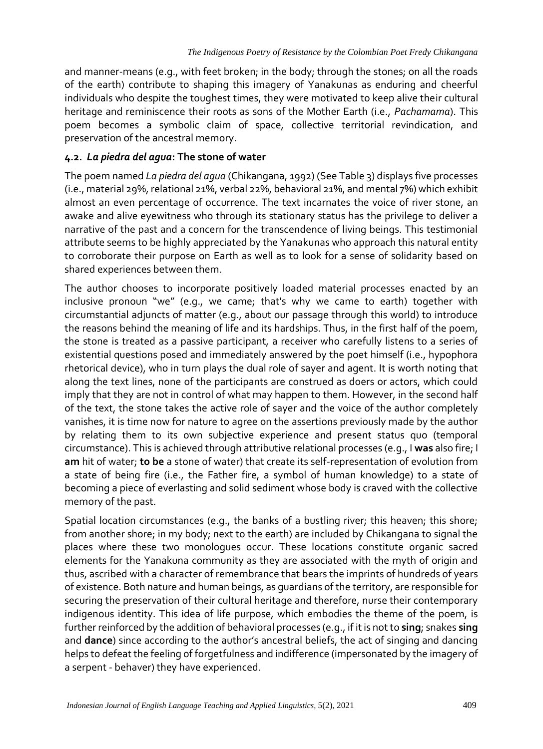and manner-means (e.g., with feet broken; in the body; through the stones; on all the roads of the earth) contribute to shaping this imagery of Yanakunas as enduring and cheerful individuals who despite the toughest times, they were motivated to keep alive their cultural heritage and reminiscence their roots as sons of the Mother Earth (i.e., *Pachamama*). This poem becomes a symbolic claim of space, collective territorial revindication, and preservation of the ancestral memory.

### **4.2.** *La piedra del agua***: The stone of water**

The poem named *La piedra del agua* (Chikangana, 1992) (See Table 3) displays five processes (i.e., material 29%, relational 21%, verbal 22%, behavioral 21%, and mental 7%) which exhibit almost an even percentage of occurrence. The text incarnates the voice of river stone, an awake and alive eyewitness who through its stationary status has the privilege to deliver a narrative of the past and a concern for the transcendence of living beings. This testimonial attribute seems to be highly appreciated by the Yanakunas who approach this natural entity to corroborate their purpose on Earth as well as to look for a sense of solidarity based on shared experiences between them.

The author chooses to incorporate positively loaded material processes enacted by an inclusive pronoun "we" (e.g., we came; that's why we came to earth) together with circumstantial adjuncts of matter (e.g., about our passage through this world) to introduce the reasons behind the meaning of life and its hardships. Thus, in the first half of the poem, the stone is treated as a passive participant, a receiver who carefully listens to a series of existential questions posed and immediately answered by the poet himself (i.e., hypophora rhetorical device), who in turn plays the dual role of sayer and agent. It is worth noting that along the text lines, none of the participants are construed as doers or actors, which could imply that they are not in control of what may happen to them. However, in the second half of the text, the stone takes the active role of sayer and the voice of the author completely vanishes, it is time now for nature to agree on the assertions previously made by the author by relating them to its own subjective experience and present status quo (temporal circumstance). This is achieved through attributive relational processes (e.g., I **was** also fire; I **am** hit of water; **to be** a stone of water) that create its self-representation of evolution from a state of being fire (i.e., the Father fire, a symbol of human knowledge) to a state of becoming a piece of everlasting and solid sediment whose body is craved with the collective memory of the past.

Spatial location circumstances (e.g., the banks of a bustling river; this heaven; this shore; from another shore; in my body; next to the earth) are included by Chikangana to signal the places where these two monologues occur. These locations constitute organic sacred elements for the Yanakuna community as they are associated with the myth of origin and thus, ascribed with a character of remembrance that bears the imprints of hundreds of years of existence. Both nature and human beings, as guardians of the territory, are responsible for securing the preservation of their cultural heritage and therefore, nurse their contemporary indigenous identity. This idea of life purpose, which embodies the theme of the poem, is further reinforced by the addition of behavioral processes (e.g., if it is not to **sing**; snakes **sing** and **dance**) since according to the author's ancestral beliefs, the act of singing and dancing helps to defeat the feeling of forgetfulness and indifference (impersonated by the imagery of a serpent - behaver) they have experienced.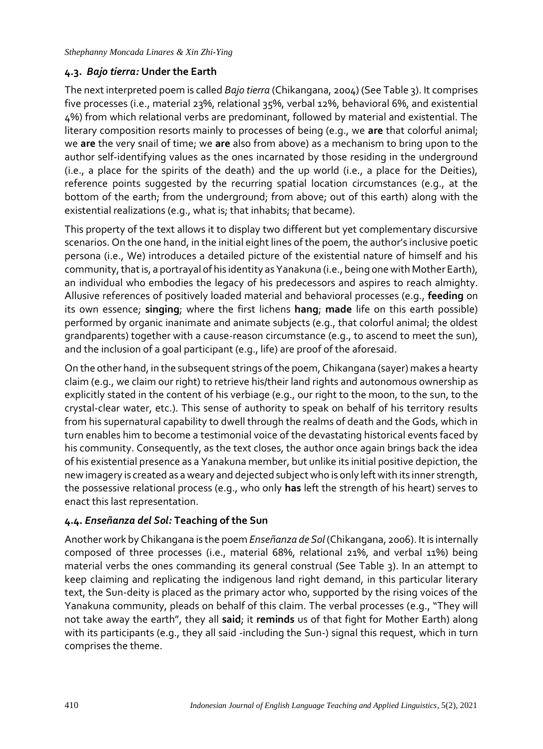### **4.3.** *Bajo tierra:* **Under the Earth**

The next interpreted poem is called *Bajo tierra* (Chikangana, 2004) (See Table 3). It comprises five processes (i.e., material 23%, relational 35%, verbal 12%, behavioral 6%, and existential 4%) from which relational verbs are predominant, followed by material and existential. The literary composition resorts mainly to processes of being (e.g., we **are** that colorful animal; we **are** the very snail of time; we **are** also from above) as a mechanism to bring upon to the author self-identifying values as the ones incarnated by those residing in the underground (i.e., a place for the spirits of the death) and the up world (i.e., a place for the Deities), reference points suggested by the recurring spatial location circumstances (e.g., at the bottom of the earth; from the underground; from above; out of this earth) along with the existential realizations (e.g., what is; that inhabits; that became).

This property of the text allows it to display two different but yet complementary discursive scenarios. On the one hand, in the initial eight lines of the poem, the author's inclusive poetic persona (i.e., We) introduces a detailed picture of the existential nature of himself and his community, that is, a portrayal of his identity as Yanakuna (i.e., being one with Mother Earth), an individual who embodies the legacy of his predecessors and aspires to reach almighty. Allusive references of positively loaded material and behavioral processes (e.g., **feeding** on its own essence; **singing**; where the first lichens **hang**; **made** life on this earth possible) performed by organic inanimate and animate subjects (e.g., that colorful animal; the oldest grandparents) together with a cause-reason circumstance (e.g., to ascend to meet the sun), and the inclusion of a goal participant (e.g., life) are proof of the aforesaid.

On the other hand, in the subsequent strings of the poem, Chikangana (sayer) makes a hearty claim (e.g., we claim our right) to retrieve his/their land rights and autonomous ownership as explicitly stated in the content of his verbiage (e.g., our right to the moon, to the sun, to the crystal-clear water, etc.). This sense of authority to speak on behalf of his territory results from his supernatural capability to dwell through the realms of death and the Gods, which in turn enables him to become a testimonial voice of the devastating historical events faced by his community. Consequently, as the text closes, the author once again brings back the idea of his existential presence as a Yanakuna member, but unlike its initial positive depiction, the new imagery is created as a weary and dejected subject who is only left with its inner strength, the possessive relational process (e.g., who only **has** left the strength of his heart) serves to enact this last representation.

### **4.4.** *Enseñanza del Sol:* **Teaching of the Sun**

Another work by Chikangana is the poem *Enseñanza de Sol* (Chikangana, 2006). It is internally composed of three processes (i.e., material 68%, relational 21%, and verbal 11%) being material verbs the ones commanding its general construal (See Table 3). In an attempt to keep claiming and replicating the indigenous land right demand, in this particular literary text, the Sun-deity is placed as the primary actor who, supported by the rising voices of the Yanakuna community, pleads on behalf of this claim. The verbal processes (e.g., "They will not take away the earth", they all **said**; it **reminds** us of that fight for Mother Earth) along with its participants (e.g., they all said -including the Sun-) signal this request, which in turn comprises the theme.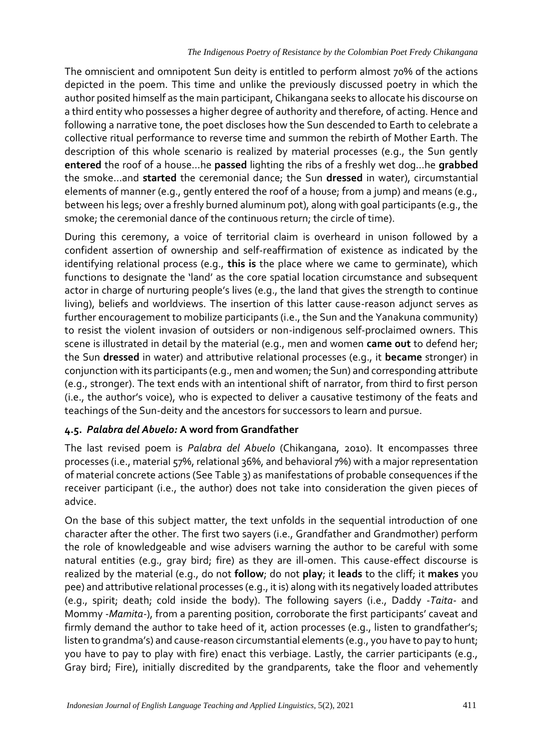The omniscient and omnipotent Sun deity is entitled to perform almost 70% of the actions depicted in the poem. This time and unlike the previously discussed poetry in which the author posited himself as the main participant, Chikangana seeks to allocate his discourse on a third entity who possesses a higher degree of authority and therefore, of acting. Hence and following a narrative tone, the poet discloses how the Sun descended to Earth to celebrate a collective ritual performance to reverse time and summon the rebirth of Mother Earth. The description of this whole scenario is realized by material processes (e.g., the Sun gently **entered** the roof of a house…he **passed** lighting the ribs of a freshly wet dog…he **grabbed** the smoke…and **started** the ceremonial dance; the Sun **dressed** in water), circumstantial elements of manner (e.g., gently entered the roof of a house; from a jump) and means (e.g., between his legs; over a freshly burned aluminum pot), along with goal participants (e.g., the smoke; the ceremonial dance of the continuous return; the circle of time).

During this ceremony, a voice of territorial claim is overheard in unison followed by a confident assertion of ownership and self-reaffirmation of existence as indicated by the identifying relational process (e.g., **this is** the place where we came to germinate), which functions to designate the 'land' as the core spatial location circumstance and subsequent actor in charge of nurturing people's lives (e.g., the land that gives the strength to continue living), beliefs and worldviews. The insertion of this latter cause-reason adjunct serves as further encouragement to mobilize participants (i.e., the Sun and the Yanakuna community) to resist the violent invasion of outsiders or non-indigenous self-proclaimed owners. This scene is illustrated in detail by the material (e.g., men and women **came out** to defend her; the Sun **dressed** in water) and attributive relational processes (e.g., it **became** stronger) in conjunction with its participants (e.g., men and women; the Sun) and corresponding attribute (e.g., stronger). The text ends with an intentional shift of narrator, from third to first person (i.e., the author's voice), who is expected to deliver a causative testimony of the feats and teachings of the Sun-deity and the ancestors for successors to learn and pursue.

# **4.5.** *Palabra del Abuelo:* **A word from Grandfather**

The last revised poem is *Palabra del Abuelo* (Chikangana, 2010). It encompasses three processes (i.e., material 57%, relational 36%, and behavioral 7%) with a major representation of material concrete actions (See Table 3) as manifestations of probable consequences if the receiver participant (i.e., the author) does not take into consideration the given pieces of advice.

On the base of this subject matter, the text unfolds in the sequential introduction of one character after the other. The first two sayers (i.e., Grandfather and Grandmother) perform the role of knowledgeable and wise advisers warning the author to be careful with some natural entities (e.g., gray bird; fire) as they are ill-omen. This cause-effect discourse is realized by the material (e.g., do not **follow**; do not **play**; it **leads** to the cliff; it **makes** you pee) and attributive relational processes (e.g., it is) along with its negatively loaded attributes (e.g., spirit; death; cold inside the body). The following sayers (i.e., Daddy -*Taita*- and Mommy -*Mamita-*), from a parenting position, corroborate the first participants' caveat and firmly demand the author to take heed of it, action processes (e.g., listen to grandfather's; listen to grandma's) and cause-reason circumstantial elements (e.g., you have to pay to hunt; you have to pay to play with fire) enact this verbiage. Lastly, the carrier participants (e.g., Gray bird; Fire), initially discredited by the grandparents, take the floor and vehemently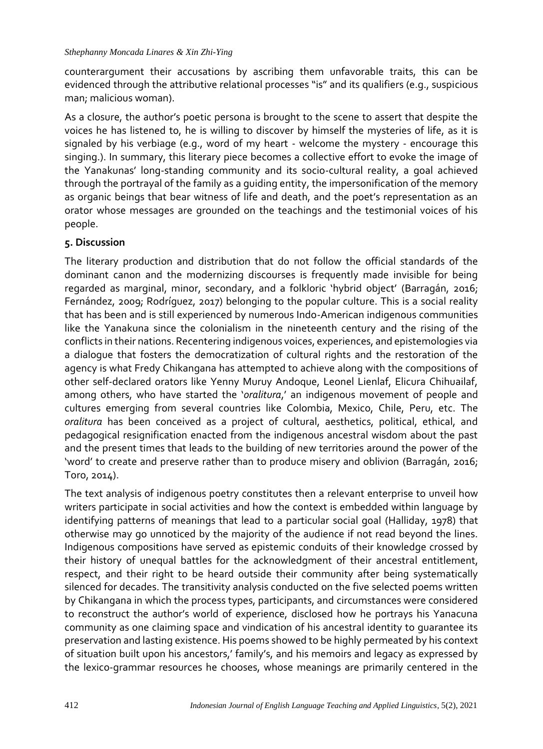counterargument their accusations by ascribing them unfavorable traits, this can be evidenced through the attributive relational processes "is" and its qualifiers (e.g., suspicious man; malicious woman).

As a closure, the author's poetic persona is brought to the scene to assert that despite the voices he has listened to, he is willing to discover by himself the mysteries of life, as it is signaled by his verbiage (e.g., word of my heart - welcome the mystery - encourage this singing.). In summary, this literary piece becomes a collective effort to evoke the image of the Yanakunas' long-standing community and its socio-cultural reality, a goal achieved through the portrayal of the family as a guiding entity, the impersonification of the memory as organic beings that bear witness of life and death, and the poet's representation as an orator whose messages are grounded on the teachings and the testimonial voices of his people.

### **5. Discussion**

The literary production and distribution that do not follow the official standards of the dominant canon and the modernizing discourses is frequently made invisible for being regarded as marginal, minor, secondary, and a folkloric 'hybrid object' (Barragán, 2016; Fernández, 2009; Rodríguez, 2017) belonging to the popular culture. This is a social reality that has been and is still experienced by numerous Indo-American indigenous communities like the Yanakuna since the colonialism in the nineteenth century and the rising of the conflicts in their nations. Recentering indigenous voices, experiences, and epistemologies via a dialogue that fosters the democratization of cultural rights and the restoration of the agency is what Fredy Chikangana has attempted to achieve along with the compositions of other self-declared orators like Yenny Muruy Andoque, Leonel Lienlaf, Elicura Chihuailaf, among others, who have started the '*oralitura*,' an indigenous movement of people and cultures emerging from several countries like Colombia, Mexico, Chile, Peru, etc. The *oralitura* has been conceived as a project of cultural, aesthetics, political, ethical, and pedagogical resignification enacted from the indigenous ancestral wisdom about the past and the present times that leads to the building of new territories around the power of the 'word' to create and preserve rather than to produce misery and oblivion (Barragán, 2016; Toro, 2014).

The text analysis of indigenous poetry constitutes then a relevant enterprise to unveil how writers participate in social activities and how the context is embedded within language by identifying patterns of meanings that lead to a particular social goal (Halliday, 1978) that otherwise may go unnoticed by the majority of the audience if not read beyond the lines. Indigenous compositions have served as epistemic conduits of their knowledge crossed by their history of unequal battles for the acknowledgment of their ancestral entitlement, respect, and their right to be heard outside their community after being systematically silenced for decades. The transitivity analysis conducted on the five selected poems written by Chikangana in which the process types, participants, and circumstances were considered to reconstruct the author's world of experience, disclosed how he portrays his Yanacuna community as one claiming space and vindication of his ancestral identity to guarantee its preservation and lasting existence. His poems showed to be highly permeated by his context of situation built upon his ancestors,' family's, and his memoirs and legacy as expressed by the lexico-grammar resources he chooses, whose meanings are primarily centered in the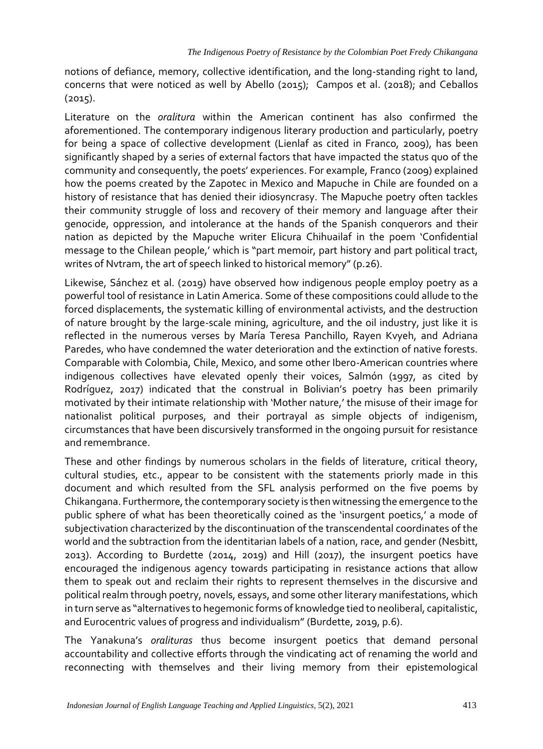notions of defiance, memory, collective identification, and the long-standing right to land, concerns that were noticed as well by Abello (2015); Campos et al. (2018); and Ceballos  $(2015).$ 

Literature on the *oralitura* within the American continent has also confirmed the aforementioned. The contemporary indigenous literary production and particularly, poetry for being a space of collective development (Lienlaf as cited in Franco, 2009), has been significantly shaped by a series of external factors that have impacted the status quo of the community and consequently, the poets' experiences. For example, Franco (2009) explained how the poems created by the Zapotec in Mexico and Mapuche in Chile are founded on a history of resistance that has denied their idiosyncrasy. The Mapuche poetry often tackles their community struggle of loss and recovery of their memory and language after their genocide, oppression, and intolerance at the hands of the Spanish conquerors and their nation as depicted by the Mapuche writer Elicura Chihuailaf in the poem 'Confidential message to the Chilean people,' which is "part memoir, part history and part political tract, writes of Nvtram, the art of speech linked to historical memory" (p.26).

Likewise, Sánchez et al. (2019) have observed how indigenous people employ poetry as a powerful tool of resistance in Latin America. Some of these compositions could allude to the forced displacements, the systematic killing of environmental activists, and the destruction of nature brought by the large-scale mining, agriculture, and the oil industry, just like it is reflected in the numerous verses by María Teresa Panchillo, Rayen Kvyeh, and Adriana Paredes, who have condemned the water deterioration and the extinction of native forests. Comparable with Colombia, Chile, Mexico, and some other Ibero-American countries where indigenous collectives have elevated openly their voices, Salmón (1997, as cited by Rodríguez, 2017) indicated that the construal in Bolivian's poetry has been primarily motivated by their intimate relationship with 'Mother nature,' the misuse of their image for nationalist political purposes, and their portrayal as simple objects of indigenism, circumstances that have been discursively transformed in the ongoing pursuit for resistance and remembrance.

These and other findings by numerous scholars in the fields of literature, critical theory, cultural studies, etc., appear to be consistent with the statements priorly made in this document and which resulted from the SFL analysis performed on the five poems by Chikangana. Furthermore, the contemporary society is then witnessing the emergence to the public sphere of what has been theoretically coined as the 'insurgent poetics,' a mode of subjectivation characterized by the discontinuation of the transcendental coordinates of the world and the subtraction from the identitarian labels of a nation, race, and gender (Nesbitt, 2013). According to Burdette (2014, 2019) and Hill (2017), the insurgent poetics have encouraged the indigenous agency towards participating in resistance actions that allow them to speak out and reclaim their rights to represent themselves in the discursive and political realm through poetry, novels, essays, and some other literary manifestations, which in turn serve as "alternatives to hegemonic forms of knowledge tied to neoliberal, capitalistic, and Eurocentric values of progress and individualism" (Burdette, 2019, p.6).

The Yanakuna's *oralituras* thus become insurgent poetics that demand personal accountability and collective efforts through the vindicating act of renaming the world and reconnecting with themselves and their living memory from their epistemological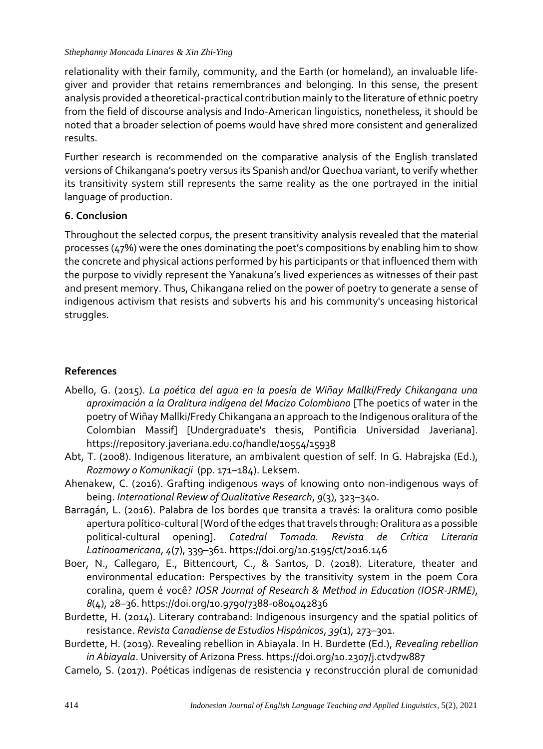relationality with their family, community, and the Earth (or homeland), an invaluable lifegiver and provider that retains remembrances and belonging. In this sense, the present analysis provided a theoretical-practical contribution mainly to the literature of ethnic poetry from the field of discourse analysis and Indo-American linguistics, nonetheless, it should be noted that a broader selection of poems would have shred more consistent and generalized results.

Further research is recommended on the comparative analysis of the English translated versions of Chikangana's poetry versus its Spanish and/or Quechua variant, to verify whether its transitivity system still represents the same reality as the one portrayed in the initial language of production.

# **6. Conclusion**

Throughout the selected corpus, the present transitivity analysis revealed that the material processes (47%) were the ones dominating the poet's compositions by enabling him to show the concrete and physical actions performed by his participants or that influenced them with the purpose to vividly represent the Yanakuna's lived experiences as witnesses of their past and present memory. Thus, Chikangana relied on the power of poetry to generate a sense of indigenous activism that resists and subverts his and his community's unceasing historical struggles.

# **References**

- Abello, G. (2015). *La poética del agua en la poesía de Wiñay Mallki/Fredy Chikangana una aproximación a la Oralitura indígena del Macizo Colombiano* [The poetics of water in the poetry of Wiñay Mallki/Fredy Chikangana an approach to the Indigenous oralitura of the Colombian Massif] [Undergraduate's thesis, Pontificia Universidad Javeriana]. https://repository.javeriana.edu.co/handle/10554/15938
- Abt, T. (2008). Indigenous literature, an ambivalent question of self. In G. Habrajska (Ed.), *Rozmowy o Komunikacji* (pp. 171–184). Leksem.
- Ahenakew, C. (2016). Grafting indigenous ways of knowing onto non-indigenous ways of being. *International Review of Qualitative Research*, *9*(3), 323–340.
- Barragán, L. (2016). Palabra de los bordes que transita a través: la oralitura como posible apertura político-cultural [Word of the edges that travels through: Oralitura as a possible political-cultural opening]. *Catedral Tomada. Revista de Crítica Literaria Latinoamericana*, *4*(7), 339–361. https://doi.org/10.5195/ct/2016.146
- Boer, N., Callegaro, E., Bittencourt, C., & Santos, D. (2018). Literature, theater and environmental education: Perspectives by the transitivity system in the poem Cora coralina, quem é você? *IOSR Journal of Research & Method in Education (IOSR-JRME)*, *8*(4), 28–36. https://doi.org/10.9790/7388-0804042836
- Burdette, H. (2014). Literary contraband: Indigenous insurgency and the spatial politics of resistance. *Revista Canadiense de Estudios Hispánicos*, *39*(1), 273–301.
- Burdette, H. (2019). Revealing rebellion in Abiayala. In H. Burdette (Ed.), *Revealing rebellion in Abiayala*. University of Arizona Press. https://doi.org/10.2307/j.ctvd7w887
- Camelo, S. (2017). Poéticas indígenas de resistencia y reconstrucción plural de comunidad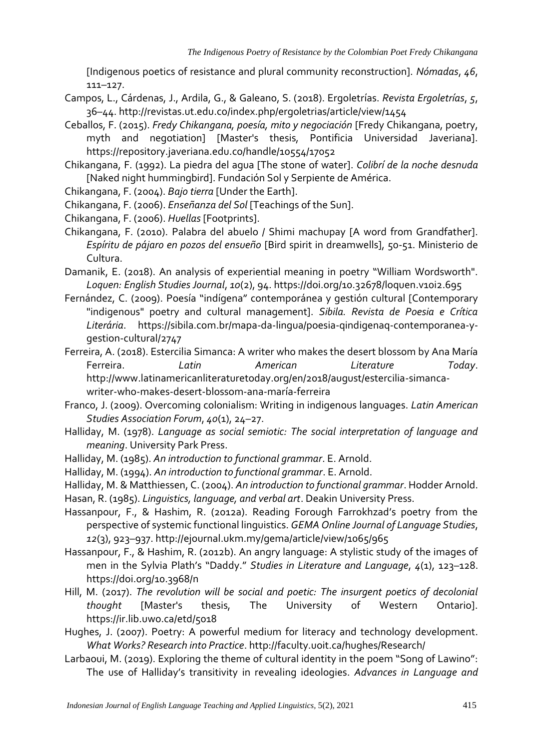[Indigenous poetics of resistance and plural community reconstruction]. *Nómadas*, *46*, 111–127.

- Campos, L., Cárdenas, J., Ardila, G., & Galeano, S. (2018). Ergoletrías. *Revista Ergoletrías*, *5*, 36–44. http://revistas.ut.edu.co/index.php/ergoletrias/article/view/1454
- Ceballos, F. (2015). *Fredy Chikangana, poesía, mito y negociación* [Fredy Chikangana, poetry, myth and negotiation] [Master's thesis, Pontificia Universidad Javeriana]. https://repository.javeriana.edu.co/handle/10554/17052
- Chikangana, F. (1992). La piedra del agua [The stone of water]. *Colibrí de la noche desnuda*  [Naked night hummingbird]. Fundación Sol y Serpiente de América.
- Chikangana, F. (2004). *Bajo tierra* [Under the Earth].
- Chikangana, F. (2006). *Enseñanza del Sol* [Teachings of the Sun].
- Chikangana, F. (2006). *Huellas* [Footprints].
- Chikangana, F. (2010). Palabra del abuelo / Shimi machupay [A word from Grandfather]. *Espíritu de pájaro en pozos del ensueño* [Bird spirit in dreamwells], 50-51. Ministerio de Cultura.
- Damanik, E. (2018). An analysis of experiential meaning in poetry "William Wordsworth". *Loquen: English Studies Journal*, *10*(2), 94. https://doi.org/10.32678/loquen.v10i2.695
- Fernández, C. (2009). Poesía "indígena" contemporánea y gestión cultural [Contemporary "indigenous" poetry and cultural management]. *Sibila. Revista de Poesia e Crítica Literária*. https://sibila.com.br/mapa-da-lingua/poesia-qindigenaq-contemporanea-ygestion-cultural/2747

Ferreira, A. (2018). Estercilia Simanca: A writer who makes the desert blossom by Ana María<br>Ferreira. *Latin Mmerican Literature Todav*. Ferreira. *Latin American Literature Today*. http://www.latinamericanliteraturetoday.org/en/2018/august/estercilia-simancawriter-who-makes-desert-blossom-ana-maría-ferreira

- Franco, J. (2009). Overcoming colonialism: Writing in indigenous languages. *Latin American Studies Association Forum*, *40*(1), 24–27.
- Halliday, M. (1978). *Language as social semiotic: The social interpretation of language and meaning*. University Park Press.
- Halliday, M. (1985). *An introduction to functional grammar*. E. Arnold.
- Halliday, M. (1994). *An introduction to functional grammar*. E. Arnold.
- Halliday, M. & Matthiessen, C. (2004). *An introduction to functional grammar*. Hodder Arnold.
- Hasan, R. (1985). *Linguistics, language, and verbal art*. Deakin University Press.
- Hassanpour, F., & Hashim, R. (2012a). Reading Forough Farrokhzad's poetry from the perspective of systemic functional linguistics. *GEMA Online Journal of Language Studies*, *12*(3), 923–937. http://ejournal.ukm.my/gema/article/view/1065/965
- Hassanpour, F., & Hashim, R. (2012b). An angry language: A stylistic study of the images of men in the Sylvia Plath's "Daddy." *Studies in Literature and Language*, *4*(1), 123–128. https://doi.org/10.3968/n
- Hill, M. (2017). *The revolution will be social and poetic: The insurgent poetics of decolonial thought* [Master's thesis, The University of Western Ontario]. https://ir.lib.uwo.ca/etd/5018
- Hughes, J. (2007). Poetry: A powerful medium for literacy and technology development. *What Works? Research into Practice*. http://faculty.uoit.ca/hughes/Research/
- Larbaoui, M. (2019). Exploring the theme of cultural identity in the poem "Song of Lawino": The use of Halliday's transitivity in revealing ideologies. *Advances in Language and*